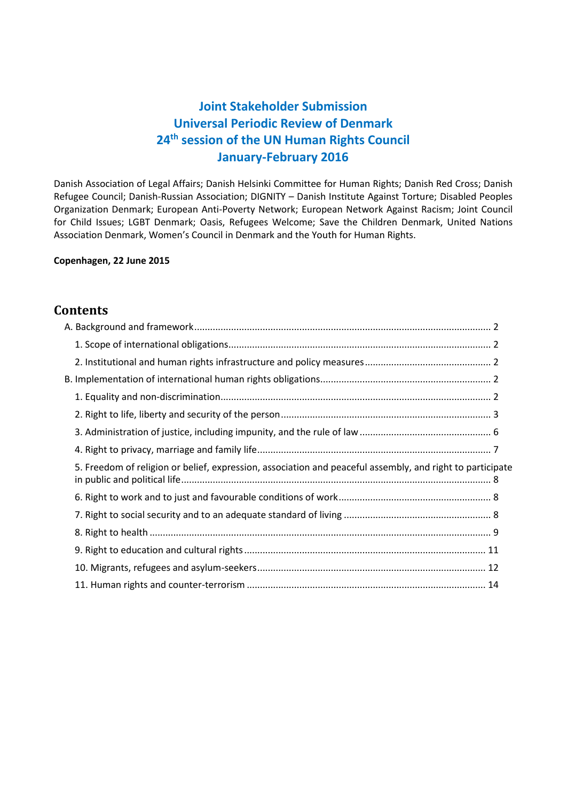# **Joint Stakeholder Submission Universal Periodic Review of Denmark 24th session of the UN Human Rights Council January-February 2016**

Danish Association of Legal Affairs; Danish Helsinki Committee for Human Rights; Danish Red Cross; Danish Refugee Council; Danish-Russian Association; DIGNITY – Danish Institute Against Torture; Disabled Peoples Organization Denmark; European Anti-Poverty Network; European Network Against Racism; Joint Council for Child Issues; LGBT Denmark; Oasis, Refugees Welcome; Save the Children Denmark, United Nations Association Denmark, Women's Council in Denmark and the Youth for Human Rights.

## **Copenhagen, 22 June 2015**

# **Contents**

| 5. Freedom of religion or belief, expression, association and peaceful assembly, and right to participate |  |
|-----------------------------------------------------------------------------------------------------------|--|
|                                                                                                           |  |
|                                                                                                           |  |
|                                                                                                           |  |
|                                                                                                           |  |
|                                                                                                           |  |
|                                                                                                           |  |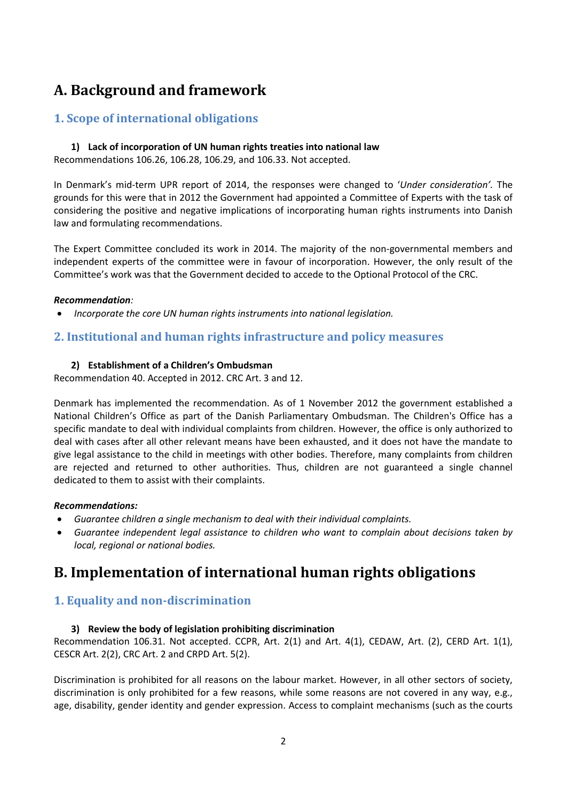# <span id="page-1-0"></span>**A. Background and framework**

# <span id="page-1-1"></span>**1. Scope of international obligations**

## **1) Lack of incorporation of UN human rights treaties into national law**

Recommendations 106.26, 106.28, 106.29, and 106.33. Not accepted.

In Denmark's mid-term UPR report of 2014, the responses were changed to '*Under consideration'.* The grounds for this were that in 2012 the Government had appointed a Committee of Experts with the task of considering the positive and negative implications of incorporating human rights instruments into Danish law and formulating recommendations.

The Expert Committee concluded its work in 2014. The majority of the non-governmental members and independent experts of the committee were in favour of incorporation. However, the only result of the Committee's work was that the Government decided to accede to the Optional Protocol of the CRC.

## *Recommendation:*

*Incorporate the core UN human rights instruments into national legislation.*

# <span id="page-1-2"></span>**2. Institutional and human rights infrastructure and policy measures**

## **2) Establishment of a Children's Ombudsman**

Recommendation 40. Accepted in 2012. CRC Art. 3 and 12.

Denmark has implemented the recommendation. As of 1 November 2012 the government established a National Children's Office as part of the Danish Parliamentary Ombudsman. The Children's Office has a specific mandate to deal with individual complaints from children. However, the office is only authorized to deal with cases after all other relevant means have been exhausted, and it does not have the mandate to give legal assistance to the child in meetings with other bodies. Therefore, many complaints from children are rejected and returned to other authorities. Thus, children are not guaranteed a single channel dedicated to them to assist with their complaints.

#### *Recommendations:*

- *Guarantee children a single mechanism to deal with their individual complaints.*
- *Guarantee independent legal assistance to children who want to complain about decisions taken by local, regional or national bodies.*

# <span id="page-1-3"></span>**B. Implementation of international human rights obligations**

# <span id="page-1-4"></span>**1. Equality and non-discrimination**

## **3) Review the body of legislation prohibiting discrimination**

Recommendation 106.31. Not accepted. CCPR, Art. 2(1) and Art. 4(1), CEDAW, Art. (2), CERD Art. 1(1), CESCR Art. 2(2), CRC Art. 2 and CRPD Art. 5(2).

Discrimination is prohibited for all reasons on the labour market. However, in all other sectors of society, discrimination is only prohibited for a few reasons, while some reasons are not covered in any way, e.g., age, disability, gender identity and gender expression. Access to complaint mechanisms (such as the courts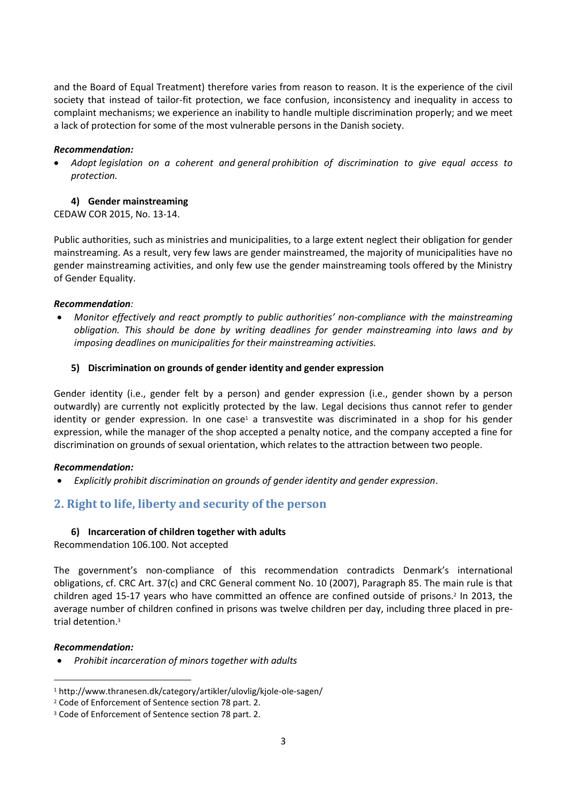and the Board of Equal Treatment) therefore varies from reason to reason. It is the experience of the civil society that instead of tailor-fit protection, we face confusion, inconsistency and inequality in access to complaint mechanisms; we experience an inability to handle multiple discrimination properly; and we meet a lack of protection for some of the most vulnerable persons in the Danish society.

#### *Recommendation:*

 *Adopt legislation on a coherent and general prohibition of discrimination to give equal access to protection.*

#### **4) Gender mainstreaming**

CEDAW COR 2015, No. 13-14.

Public authorities, such as ministries and municipalities, to a large extent neglect their obligation for gender mainstreaming. As a result, very few laws are gender mainstreamed, the majority of municipalities have no gender mainstreaming activities, and only few use the gender mainstreaming tools offered by the Ministry of Gender Equality.

#### *Recommendation:*

 *Monitor effectively and react promptly to public authorities' non-compliance with the mainstreaming obligation. This should be done by writing deadlines for gender mainstreaming into laws and by imposing deadlines on municipalities for their mainstreaming activities.*

#### **5) Discrimination on grounds of gender identity and gender expression**

Gender identity (i.e., gender felt by a person) and gender expression (i.e., gender shown by a person outwardly) are currently not explicitly protected by the law. Legal decisions thus cannot refer to gender identity or gender expression. In one case<sup>1</sup> a transvestite was discriminated in a shop for his gender expression, while the manager of the shop accepted a penalty notice, and the company accepted a fine for discrimination on grounds of sexual orientation, which relates to the attraction between two people.

#### *Recommendation:*

*Explicitly prohibit discrimination on grounds of gender identity and gender expression*.

# <span id="page-2-0"></span>**2. Right to life, liberty and security of the person**

#### **6) Incarceration of children together with adults**

Recommendation 106.100. Not accepted

The government's non-compliance of this recommendation contradicts Denmark's international obligations, cf. CRC Art. 37(c) and CRC General comment No. 10 (2007), Paragraph 85. The main rule is that children aged 15-17 years who have committed an offence are confined outside of prisons. 2 In 2013, the average number of children confined in prisons was twelve children per day, including three placed in pretrial detention.<sup>3</sup>

#### *Recommendation:*

 $\overline{a}$ 

*Prohibit incarceration of minors together with adults*

<sup>1</sup> http://www.thranesen.dk/category/artikler/ulovlig/kjole-ole-sagen/

<sup>2</sup> Code of Enforcement of Sentence section 78 part. 2.

<sup>3</sup> Code of Enforcement of Sentence section 78 part. 2.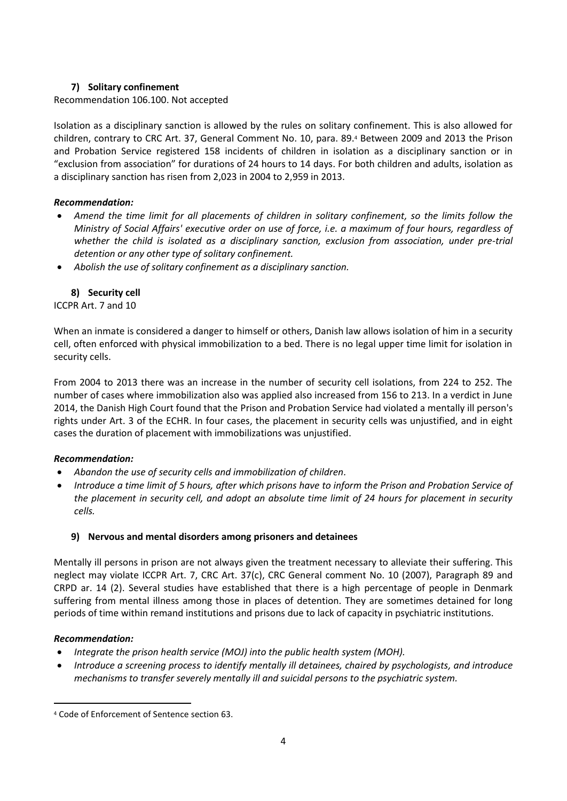## **7) Solitary confinement**

Recommendation 106.100. Not accepted

Isolation as a disciplinary sanction is allowed by the rules on solitary confinement. This is also allowed for children, contrary to CRC Art. 37, General Comment No. 10, para. 89.<sup>4</sup> Between 2009 and 2013 the Prison and Probation Service registered 158 incidents of children in isolation as a disciplinary sanction or in "exclusion from association" for durations of 24 hours to 14 days. For both children and adults, isolation as a disciplinary sanction has risen from 2,023 in 2004 to 2,959 in 2013.

## *Recommendation:*

- *Amend the time limit for all placements of children in solitary confinement, so the limits follow the Ministry of Social Affairs' executive order on use of force, i.e. a maximum of four hours, regardless of whether the child is isolated as a disciplinary sanction, exclusion from association, under pre-trial detention or any other type of solitary confinement.*
- *Abolish the use of solitary confinement as a disciplinary sanction.*

## **8) Security cell**

ICCPR Art. 7 and 10

When an inmate is considered a danger to himself or others, Danish law allows isolation of him in a security cell, often enforced with physical immobilization to a bed. There is no legal upper time limit for isolation in security cells.

From 2004 to 2013 there was an increase in the number of security cell isolations, from 224 to 252. The number of cases where immobilization also was applied also increased from 156 to 213. In a verdict in June 2014, the Danish High Court found that the Prison and Probation Service had violated a mentally ill person's rights under Art. 3 of the ECHR. In four cases, the placement in security cells was unjustified, and in eight cases the duration of placement with immobilizations was unjustified.

#### *Recommendation:*

- *Abandon the use of security cells and immobilization of children.*
- *Introduce a time limit of 5 hours, after which prisons have to inform the Prison and Probation Service of the placement in security cell, and adopt an absolute time limit of 24 hours for placement in security cells.*

## **9) Nervous and mental disorders among prisoners and detainees**

Mentally ill persons in prison are not always given the treatment necessary to alleviate their suffering. This neglect may violate ICCPR Art. 7, CRC Art. 37(c), CRC General comment No. 10 (2007), Paragraph 89 and CRPD ar. 14 (2). Several studies have established that there is a high percentage of people in Denmark suffering from mental illness among those in places of detention. They are sometimes detained for long periods of time within remand institutions and prisons due to lack of capacity in psychiatric institutions.

#### *Recommendation:*

- *Integrate the prison health service (MOJ) into the public health system (MOH).*
- *Introduce a screening process to identify mentally ill detainees, chaired by psychologists, and introduce mechanisms to transfer severely mentally ill and suicidal persons to the psychiatric system.*

 $\overline{a}$ <sup>4</sup> Code of Enforcement of Sentence section 63.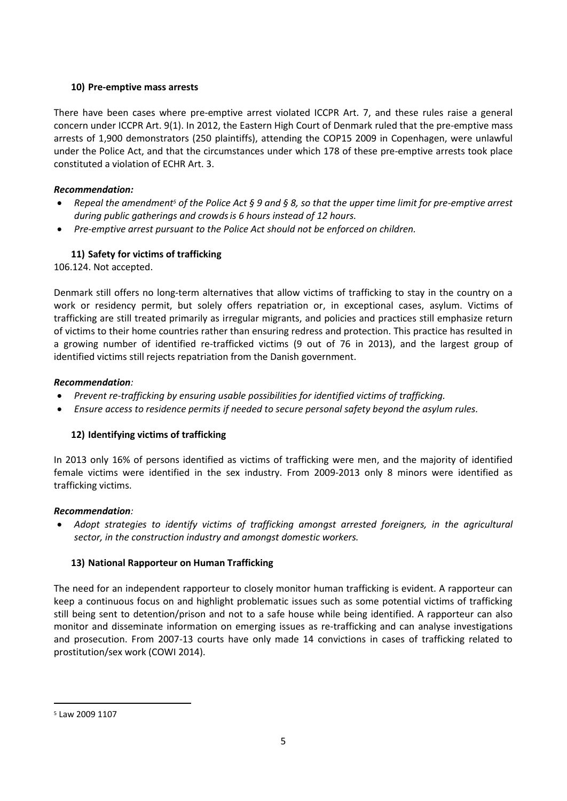## **10) Pre-emptive mass arrests**

There have been cases where pre-emptive arrest violated ICCPR Art. 7, and these rules raise a general concern under ICCPR Art. 9(1). In 2012, the Eastern High Court of Denmark ruled that the pre-emptive mass arrests of 1,900 demonstrators (250 plaintiffs), attending the COP15 2009 in Copenhagen, were unlawful under the Police Act, and that the circumstances under which 178 of these pre-emptive arrests took place constituted a violation of ECHR Art. 3.

## *Recommendation:*

- *Repeal the amendment<sup>5</sup> of the Police Act § 9 and § 8, so that the upper time limit for pre-emptive arrest during public gatherings and crowdsis 6 hours instead of 12 hours.*
- *Pre-emptive arrest pursuant to the Police Act should not be enforced on children.*

# **11) Safety for victims of trafficking**

106.124. Not accepted.

Denmark still offers no long-term alternatives that allow victims of trafficking to stay in the country on a work or residency permit, but solely offers repatriation or, in exceptional cases, asylum. Victims of trafficking are still treated primarily as irregular migrants, and policies and practices still emphasize return of victims to their home countries rather than ensuring redress and protection. This practice has resulted in a growing number of identified re-trafficked victims (9 out of 76 in 2013), and the largest group of identified victims still rejects repatriation from the Danish government.

## *Recommendation:*

- *Prevent re-trafficking by ensuring usable possibilities for identified victims of trafficking.*
- *Ensure access to residence permits if needed to secure personal safety beyond the asylum rules.*

## **12) Identifying victims of trafficking**

In 2013 only 16% of persons identified as victims of trafficking were men, and the majority of identified female victims were identified in the sex industry. From 2009-2013 only 8 minors were identified as trafficking victims.

## *Recommendation:*

 *Adopt strategies to identify victims of trafficking amongst arrested foreigners, in the agricultural sector, in the construction industry and amongst domestic workers.*

## **13) National Rapporteur on Human Trafficking**

The need for an independent rapporteur to closely monitor human trafficking is evident. A rapporteur can keep a continuous focus on and highlight problematic issues such as some potential victims of trafficking still being sent to detention/prison and not to a safe house while being identified. A rapporteur can also monitor and disseminate information on emerging issues as re-trafficking and can analyse investigations and prosecution. From 2007-13 courts have only made 14 convictions in cases of trafficking related to prostitution/sex work (COWI 2014).

 $\overline{a}$ 

<sup>5</sup> Law 2009 1107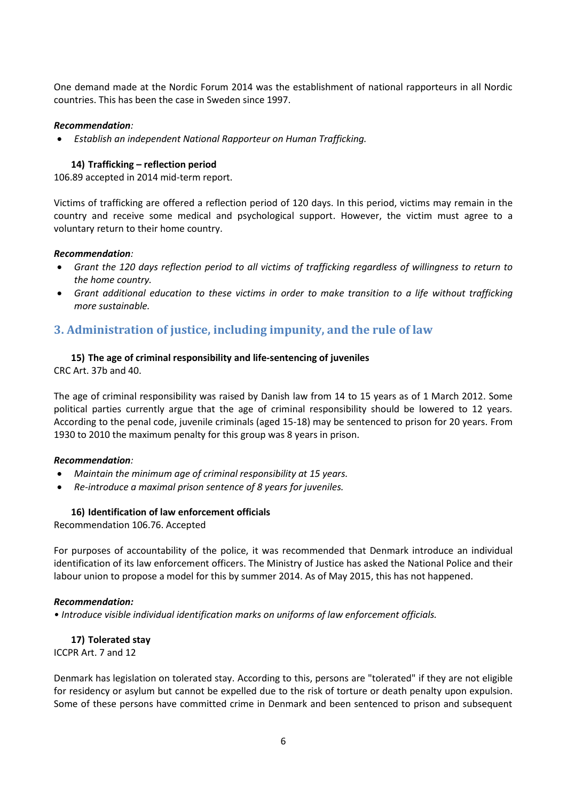One demand made at the Nordic Forum 2014 was the establishment of national rapporteurs in all Nordic countries. This has been the case in Sweden since 1997.

### *Recommendation:*

*Establish an independent National Rapporteur on Human Trafficking.*

## **14) Trafficking – reflection period**

106.89 accepted in 2014 mid-term report.

Victims of trafficking are offered a reflection period of 120 days. In this period, victims may remain in the country and receive some medical and psychological support. However, the victim must agree to a voluntary return to their home country.

#### *Recommendation:*

- *Grant the 120 days reflection period to all victims of trafficking regardless of willingness to return to the home country.*
- *Grant additional education to these victims in order to make transition to a life without trafficking more sustainable.*

# <span id="page-5-0"></span>**3. Administration of justice, including impunity, and the rule of law**

## **15) The age of criminal responsibility and life-sentencing of juveniles**

CRC Art. 37b and 40.

The age of criminal responsibility was raised by Danish law from 14 to 15 years as of 1 March 2012. Some political parties currently argue that the age of criminal responsibility should be lowered to 12 years. According to the penal code, juvenile criminals (aged 15-18) may be sentenced to prison for 20 years. From 1930 to 2010 the maximum penalty for this group was 8 years in prison.

#### *Recommendation:*

- *Maintain the minimum age of criminal responsibility at 15 years.*
- *Re-introduce a maximal prison sentence of 8 years for juveniles.*

## **16) Identification of law enforcement officials**

Recommendation 106.76. Accepted

For purposes of accountability of the police, it was recommended that Denmark introduce an individual identification of its law enforcement officers. The Ministry of Justice has asked the National Police and their labour union to propose a model for this by summer 2014. As of May 2015, this has not happened.

#### *Recommendation:*

*• Introduce visible individual identification marks on uniforms of law enforcement officials.*

**17) Tolerated stay**  ICCPR Art. 7 and 12

Denmark has legislation on tolerated stay. According to this, persons are "tolerated" if they are not eligible for residency or asylum but cannot be expelled due to the risk of torture or death penalty upon expulsion. Some of these persons have committed crime in Denmark and been sentenced to prison and subsequent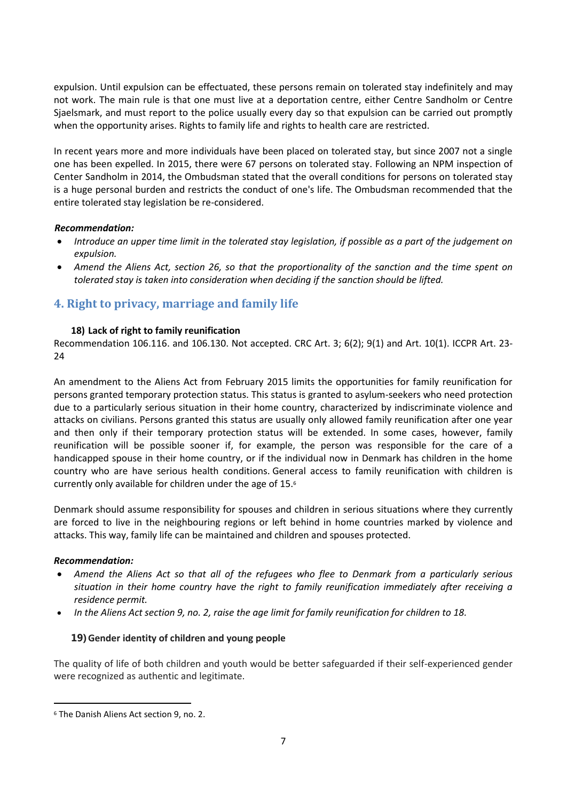expulsion. Until expulsion can be effectuated, these persons remain on tolerated stay indefinitely and may not work. The main rule is that one must live at a deportation centre, either Centre Sandholm or Centre Sjaelsmark, and must report to the police usually every day so that expulsion can be carried out promptly when the opportunity arises. Rights to family life and rights to health care are restricted.

In recent years more and more individuals have been placed on tolerated stay, but since 2007 not a single one has been expelled. In 2015, there were 67 persons on tolerated stay. Following an NPM inspection of Center Sandholm in 2014, the Ombudsman stated that the overall conditions for persons on tolerated stay is a huge personal burden and restricts the conduct of one's life. The Ombudsman recommended that the entire tolerated stay legislation be re-considered.

## *Recommendation:*

- *Introduce an upper time limit in the tolerated stay legislation, if possible as a part of the judgement on expulsion.*
- *Amend the Aliens Act, section 26, so that the proportionality of the sanction and the time spent on tolerated stay is taken into consideration when deciding if the sanction should be lifted.*

# <span id="page-6-0"></span>**4. Right to privacy, marriage and family life**

## **18) Lack of right to family reunification**

Recommendation 106.116. and 106.130. Not accepted. CRC Art. 3; 6(2); 9(1) and Art. 10(1). ICCPR Art. 23- 24

An amendment to the Aliens Act from February 2015 limits the opportunities for family reunification for persons granted temporary protection status. This status is granted to asylum-seekers who need protection due to a particularly serious situation in their home country, characterized by indiscriminate violence and attacks on civilians. Persons granted this status are usually only allowed family reunification after one year and then only if their temporary protection status will be extended. In some cases, however, family reunification will be possible sooner if, for example, the person was responsible for the care of a handicapped spouse in their home country, or if the individual now in Denmark has children in the home country who are have serious health conditions. General access to family reunification with children is currently only available for children under the age of 15.<sup>6</sup>

Denmark should assume responsibility for spouses and children in serious situations where they currently are forced to live in the neighbouring regions or left behind in home countries marked by violence and attacks. This way, family life can be maintained and children and spouses protected.

#### *Recommendation:*

 $\overline{a}$ 

- *Amend the Aliens Act so that all of the refugees who flee to Denmark from a particularly serious situation in their home country have the right to family reunification immediately after receiving a residence permit.*
- *In the Aliens Act section 9, no. 2, raise the age limit for family reunification for children to 18.*

## **19)Gender identity of children and young people**

The quality of life of both children and youth would be better safeguarded if their self-experienced gender were recognized as authentic and legitimate.

<sup>6</sup> The Danish Aliens Act section 9, no. 2.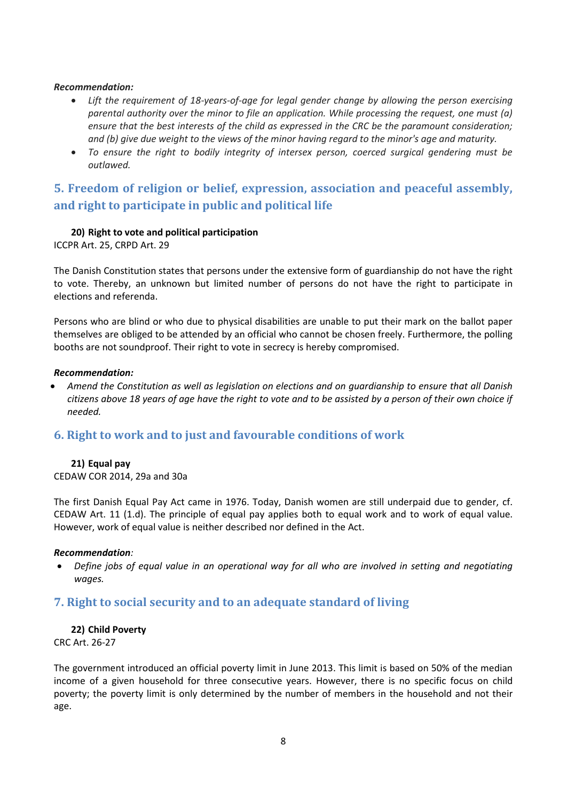#### *Recommendation:*

- *Lift the requirement of 18-years-of-age for legal gender change by allowing the person exercising parental authority over the minor to file an application. While processing the request, one must (a) ensure that the best interests of the child as expressed in the CRC be the paramount consideration; and (b) give due weight to the views of the minor having regard to the minor's age and maturity.*
- *To ensure the right to bodily integrity of intersex person, coerced surgical gendering must be outlawed.*

# <span id="page-7-0"></span>**5. Freedom of religion or belief, expression, association and peaceful assembly, and right to participate in public and political life**

#### **20) Right to vote and political participation**

ICCPR Art. 25, CRPD Art. 29

The Danish Constitution states that persons under the extensive form of guardianship do not have the right to vote. Thereby, an unknown but limited number of persons do not have the right to participate in elections and referenda.

Persons who are blind or who due to physical disabilities are unable to put their mark on the ballot paper themselves are obliged to be attended by an official who cannot be chosen freely. Furthermore, the polling booths are not soundproof. Their right to vote in secrecy is hereby compromised.

#### *Recommendation:*

 *Amend the Constitution as well as legislation on elections and on guardianship to ensure that all Danish citizens above 18 years of age have the right to vote and to be assisted by a person of their own choice if needed.*

## <span id="page-7-1"></span>**6. Right to work and to just and favourable conditions of work**

#### **21) Equal pay**

CEDAW COR 2014, 29a and 30a

The first Danish Equal Pay Act came in 1976. Today, Danish women are still underpaid due to gender, cf. CEDAW Art. 11 (1.d). The principle of equal pay applies both to equal work and to work of equal value. However, work of equal value is neither described nor defined in the Act.

#### *Recommendation:*

 *Define jobs of equal value in an operational way for all who are involved in setting and negotiating wages.*

## <span id="page-7-2"></span>**7. Right to social security and to an adequate standard of living**

#### **22) Child Poverty**

## CRC Art. 26-27

The government introduced an official poverty limit in June 2013. This limit is based on 50% of the median income of a given household for three consecutive years. However, there is no specific focus on child poverty; the poverty limit is only determined by the number of members in the household and not their age.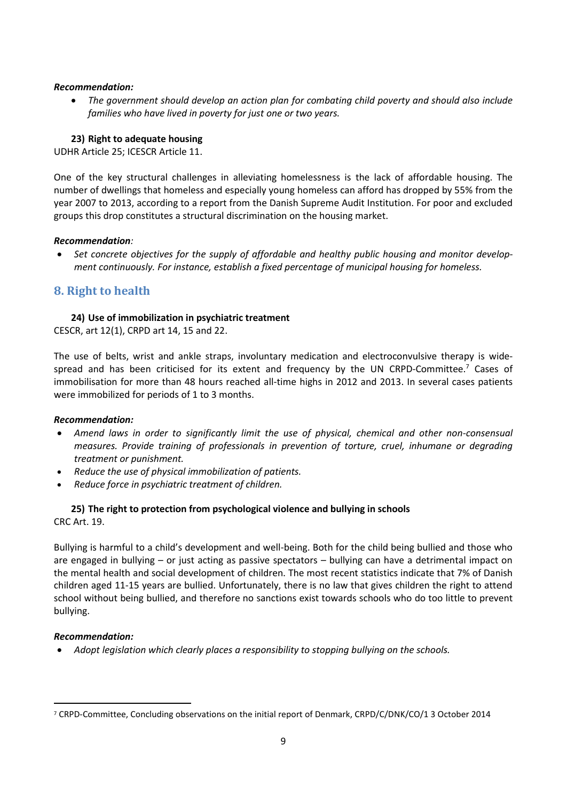#### *Recommendation:*

 *The government should develop an action plan for combating child poverty and should also include families who have lived in poverty for just one or two years.*

## **23) Right to adequate housing**

UDHR Article 25; ICESCR Article 11.

One of the key structural challenges in alleviating homelessness is the lack of affordable housing. The number of dwellings that homeless and especially young homeless can afford has dropped by 55% from the year 2007 to 2013, according to a report from the Danish Supreme Audit Institution. For poor and excluded groups this drop constitutes a structural discrimination on the housing market.

#### *Recommendation:*

 *Set concrete objectives for the supply of affordable and healthy public housing and monitor development continuously. For instance, establish a fixed percentage of municipal housing for homeless.*

# <span id="page-8-0"></span>**8. Right to health**

## **24) Use of immobilization in psychiatric treatment**

CESCR, art 12(1), CRPD art 14, 15 and 22.

The use of belts, wrist and ankle straps, involuntary medication and electroconvulsive therapy is widespread and has been criticised for its extent and frequency by the UN CRPD-Committee.<sup>7</sup> Cases of immobilisation for more than 48 hours reached all-time highs in 2012 and 2013. In several cases patients were immobilized for periods of 1 to 3 months.

#### *Recommendation:*

- *Amend laws in order to significantly limit the use of physical, chemical and other non-consensual measures. Provide training of professionals in prevention of torture, cruel, inhumane or degrading treatment or punishment.*
- *Reduce the use of physical immobilization of patients.*
- *Reduce force in psychiatric treatment of children.*

#### **25) The right to protection from psychological violence and bullying in schools**  CRC Art. 19.

Bullying is harmful to a child's development and well-being. Both for the child being bullied and those who are engaged in bullying – or just acting as passive spectators – bullying can have a detrimental impact on the mental health and social development of children. The most recent statistics indicate that 7% of Danish children aged 11-15 years are bullied. Unfortunately, there is no law that gives children the right to attend school without being bullied, and therefore no sanctions exist towards schools who do too little to prevent bullying.

#### *Recommendation:*

 $\overline{a}$ 

*Adopt legislation which clearly places a responsibility to stopping bullying on the schools.* 

<sup>7</sup> CRPD-Committee, Concluding observations on the initial report of Denmark, CRPD/C/DNK/CO/1 3 October 2014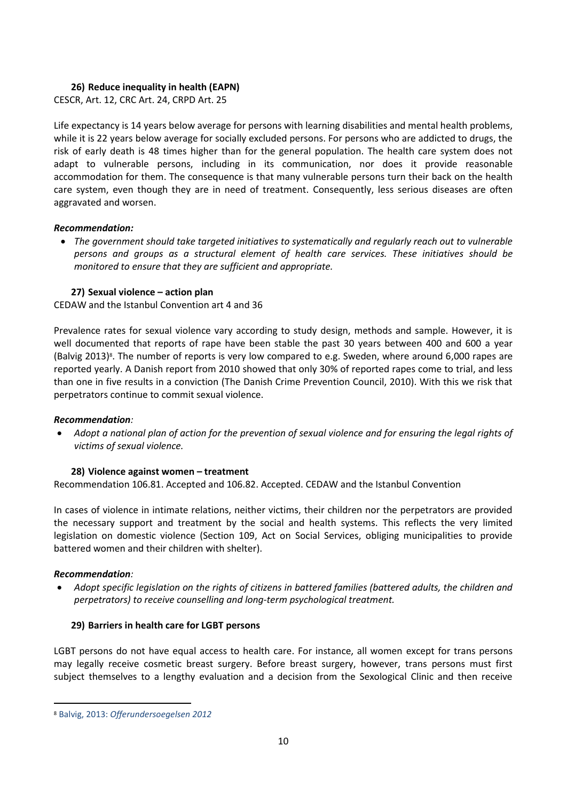## **26) Reduce inequality in health (EAPN)**

CESCR, Art. 12, CRC Art. 24, CRPD Art. 25

Life expectancy is 14 years below average for persons with learning disabilities and mental health problems, while it is 22 years below average for socially excluded persons. For persons who are addicted to drugs, the risk of early death is 48 times higher than for the general population. The health care system does not adapt to vulnerable persons, including in its communication, nor does it provide reasonable accommodation for them. The consequence is that many vulnerable persons turn their back on the health care system, even though they are in need of treatment. Consequently, less serious diseases are often aggravated and worsen.

#### *Recommendation:*

 *The government should take targeted initiatives to systematically and regularly reach out to vulnerable persons and groups as a structural element of health care services. These initiatives should be monitored to ensure that they are sufficient and appropriate.*

## **27) Sexual violence – action plan**

CEDAW and the Istanbul Convention art 4 and 36

Prevalence rates for sexual violence vary according to study design, methods and sample. However, it is well documented that reports of rape have been stable the past 30 years between 400 and 600 a year (Balvig 2013)<sup>8</sup>. The number of reports is very low compared to e.g. Sweden, where around 6,000 rapes are reported yearly. A Danish report from 2010 showed that only 30% of reported rapes come to trial, and less than one in five results in a conviction (The Danish Crime Prevention Council, 2010). With this we risk that perpetrators continue to commit sexual violence.

#### *Recommendation:*

 *Adopt a national plan of action for the prevention of sexual violence and for ensuring the legal rights of victims of sexual violence.*

## **28) Violence against women – treatment**

Recommendation 106.81. Accepted and 106.82. Accepted. CEDAW and the Istanbul Convention

In cases of violence in intimate relations, neither victims, their children nor the perpetrators are provided the necessary support and treatment by the social and health systems. This reflects the very limited legislation on domestic violence (Section 109, Act on Social Services, obliging municipalities to provide battered women and their children with shelter).

#### *Recommendation:*

 $\overline{a}$ 

 *Adopt specific legislation on the rights of citizens in battered families (battered adults, the children and perpetrators) to receive counselling and long-term psychological treatment.*

#### **29) Barriers in health care for LGBT persons**

LGBT persons do not have equal access to health care. For instance, all women except for trans persons may legally receive cosmetic breast surgery. Before breast surgery, however, trans persons must first subject themselves to a lengthy evaluation and a decision from the Sexological Clinic and then receive

<sup>8</sup> Balvig, 2013: *Offerundersoegelsen 2012*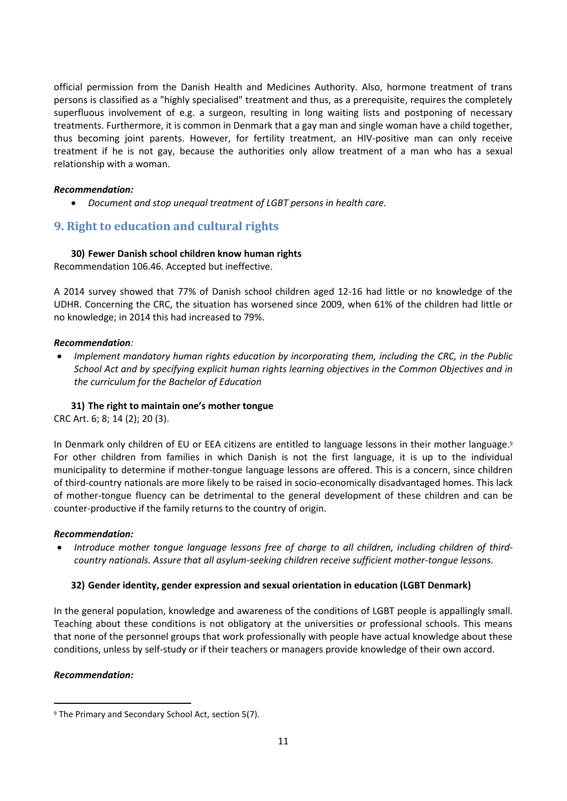official permission from the Danish Health and Medicines Authority. Also, hormone treatment of trans persons is classified as a "highly specialised" treatment and thus, as a prerequisite, requires the completely superfluous involvement of e.g. a surgeon, resulting in long waiting lists and postponing of necessary treatments. Furthermore, it is common in Denmark that a gay man and single woman have a child together, thus becoming joint parents. However, for fertility treatment, an HIV-positive man can only receive treatment if he is not gay, because the authorities only allow treatment of a man who has a sexual relationship with a woman.

### *Recommendation:*

*Document and stop unequal treatment of LGBT persons in health care.*

# <span id="page-10-0"></span>**9. Right to education and cultural rights**

## **30) Fewer Danish school children know human rights**

Recommendation 106.46. Accepted but ineffective.

A 2014 survey showed that 77% of Danish school children aged 12-16 had little or no knowledge of the UDHR. Concerning the CRC, the situation has worsened since 2009, when 61% of the children had little or no knowledge; in 2014 this had increased to 79%.

#### *Recommendation:*

 *Implement mandatory human rights education by incorporating them, including the CRC, in the Public School Act and by specifying explicit human rights learning objectives in the Common Objectives and in the curriculum for the Bachelor of Education*

### **31) The right to maintain one's mother tongue**

CRC Art. 6; 8; 14 (2); 20 (3).

In Denmark only children of EU or EEA citizens are entitled to language lessons in their mother language. 9 For other children from families in which Danish is not the first language, it is up to the individual municipality to determine if mother-tongue language lessons are offered. This is a concern, since children of third-country nationals are more likely to be raised in socio-economically disadvantaged homes. This lack of mother-tongue fluency can be detrimental to the general development of these children and can be counter-productive if the family returns to the country of origin.

#### *Recommendation:*

 *Introduce mother tongue language lessons free of charge to all children, including children of thirdcountry nationals. Assure that all asylum-seeking children receive sufficient mother-tongue lessons.*

## **32) Gender identity, gender expression and sexual orientation in education (LGBT Denmark)**

In the general population, knowledge and awareness of the conditions of LGBT people is appallingly small. Teaching about these conditions is not obligatory at the universities or professional schools. This means that none of the personnel groups that work professionally with people have actual knowledge about these conditions, unless by self-study or if their teachers or managers provide knowledge of their own accord.

#### *Recommendation:*

 $\overline{a}$ 

<sup>9</sup> The Primary and Secondary School Act, section 5(7).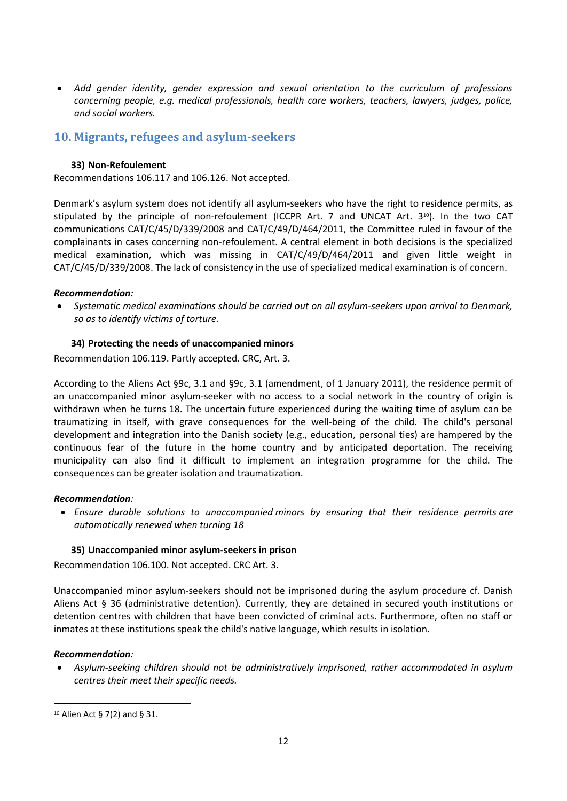*Add gender identity, gender expression and sexual orientation to the curriculum of professions concerning people, e.g. medical professionals, health care workers, teachers, lawyers, judges, police, and social workers.*

# <span id="page-11-0"></span>**10. Migrants, refugees and asylum-seekers**

#### **33) Non-Refoulement**

Recommendations 106.117 and 106.126. Not accepted.

Denmark's asylum system does not identify all asylum-seekers who have the right to residence permits, as stipulated by the principle of non-refoulement (ICCPR Art. 7 and UNCAT Art.  $3^{10}$ ). In the two CAT communications CAT/C/45/D/339/2008 and CAT/C/49/D/464/2011, the Committee ruled in favour of the complainants in cases concerning non-refoulement. A central element in both decisions is the specialized medical examination, which was missing in CAT/C/49/D/464/2011 and given little weight in CAT/C/45/D/339/2008. The lack of consistency in the use of specialized medical examination is of concern.

#### *Recommendation:*

 *Systematic medical examinations should be carried out on all asylum-seekers upon arrival to Denmark, so as to identify victims of torture.* 

#### **34) Protecting the needs of unaccompanied minors**

Recommendation 106.119. Partly accepted. CRC, Art. 3.

According to the Aliens Act §9c, 3.1 and §9c, 3.1 (amendment, of 1 January 2011), the residence permit of an unaccompanied minor asylum-seeker with no access to a social network in the country of origin is withdrawn when he turns 18. The uncertain future experienced during the waiting time of asylum can be traumatizing in itself, with grave consequences for the well-being of the child. The child's personal development and integration into the Danish society (e.g., education, personal ties) are hampered by the continuous fear of the future in the home country and by anticipated deportation. The receiving municipality can also find it difficult to implement an integration programme for the child. The consequences can be greater isolation and traumatization.

#### *Recommendation:*

 *Ensure durable solutions to unaccompanied minors by ensuring that their residence permits are automatically renewed when turning 18*

#### **35) Unaccompanied minor asylum-seekers in prison**

Recommendation 106.100. Not accepted. CRC Art. 3.

Unaccompanied minor asylum-seekers should not be imprisoned during the asylum procedure cf. Danish Aliens Act § 36 (administrative detention). Currently, they are detained in secured youth institutions or detention centres with children that have been convicted of criminal acts. Furthermore, often no staff or inmates at these institutions speak the child's native language, which results in isolation.

#### *Recommendation:*

 $\overline{a}$ 

 *Asylum-seeking children should not be administratively imprisoned, rather accommodated in asylum centres their meet their specific needs.*

<sup>10</sup> Alien Act § 7(2) and § 31.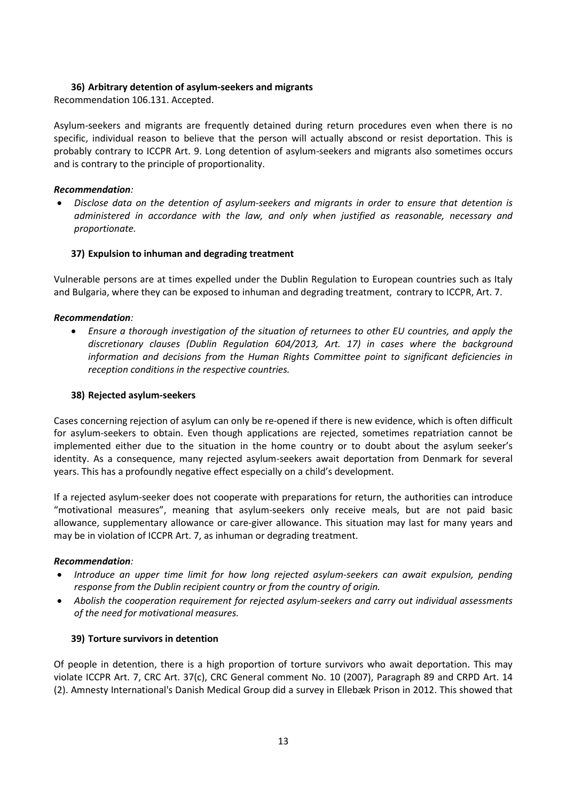#### **36) Arbitrary detention of asylum-seekers and migrants**

Recommendation 106.131. Accepted.

Asylum-seekers and migrants are frequently detained during return procedures even when there is no specific, individual reason to believe that the person will actually abscond or resist deportation. This is probably contrary to ICCPR Art. 9. Long detention of asylum-seekers and migrants also sometimes occurs and is contrary to the principle of proportionality.

### *Recommendation:*

 *Disclose data on the detention of asylum-seekers and migrants in order to ensure that detention is administered in accordance with the law, and only when justified as reasonable, necessary and proportionate.*

## **37) Expulsion to inhuman and degrading treatment**

Vulnerable persons are at times expelled under the Dublin Regulation to European countries such as Italy and Bulgaria, where they can be exposed to inhuman and degrading treatment, contrary to ICCPR, Art. 7.

## *Recommendation:*

 *Ensure a thorough investigation of the situation of returnees to other EU countries, and apply the discretionary clauses (Dublin Regulation 604/2013, Art. 17) in cases where the background information and decisions from the Human Rights Committee point to significant deficiencies in reception conditions in the respective countries.* 

#### **38) Rejected asylum-seekers**

Cases concerning rejection of asylum can only be re-opened if there is new evidence, which is often difficult for asylum-seekers to obtain. Even though applications are rejected, sometimes repatriation cannot be implemented either due to the situation in the home country or to doubt about the asylum seeker's identity. As a consequence, many rejected asylum-seekers await deportation from Denmark for several years. This has a profoundly negative effect especially on a child's development.

If a rejected asylum-seeker does not cooperate with preparations for return, the authorities can introduce "motivational measures", meaning that asylum-seekers only receive meals, but are not paid basic allowance, supplementary allowance or care-giver allowance. This situation may last for many years and may be in violation of ICCPR Art. 7, as inhuman or degrading treatment.

#### *Recommendation:*

- *Introduce an upper time limit for how long rejected asylum-seekers can await expulsion, pending response from the Dublin recipient country or from the country of origin.*
- *Abolish the cooperation requirement for rejected asylum-seekers and carry out individual assessments of the need for motivational measures.*

#### **39) Torture survivors in detention**

Of people in detention, there is a high proportion of torture survivors who await deportation. This may violate ICCPR Art. 7, CRC Art. 37(c), CRC General comment No. 10 (2007), Paragraph 89 and CRPD Art. 14 (2). Amnesty International's Danish Medical Group did a survey in Ellebæk Prison in 2012. This showed that